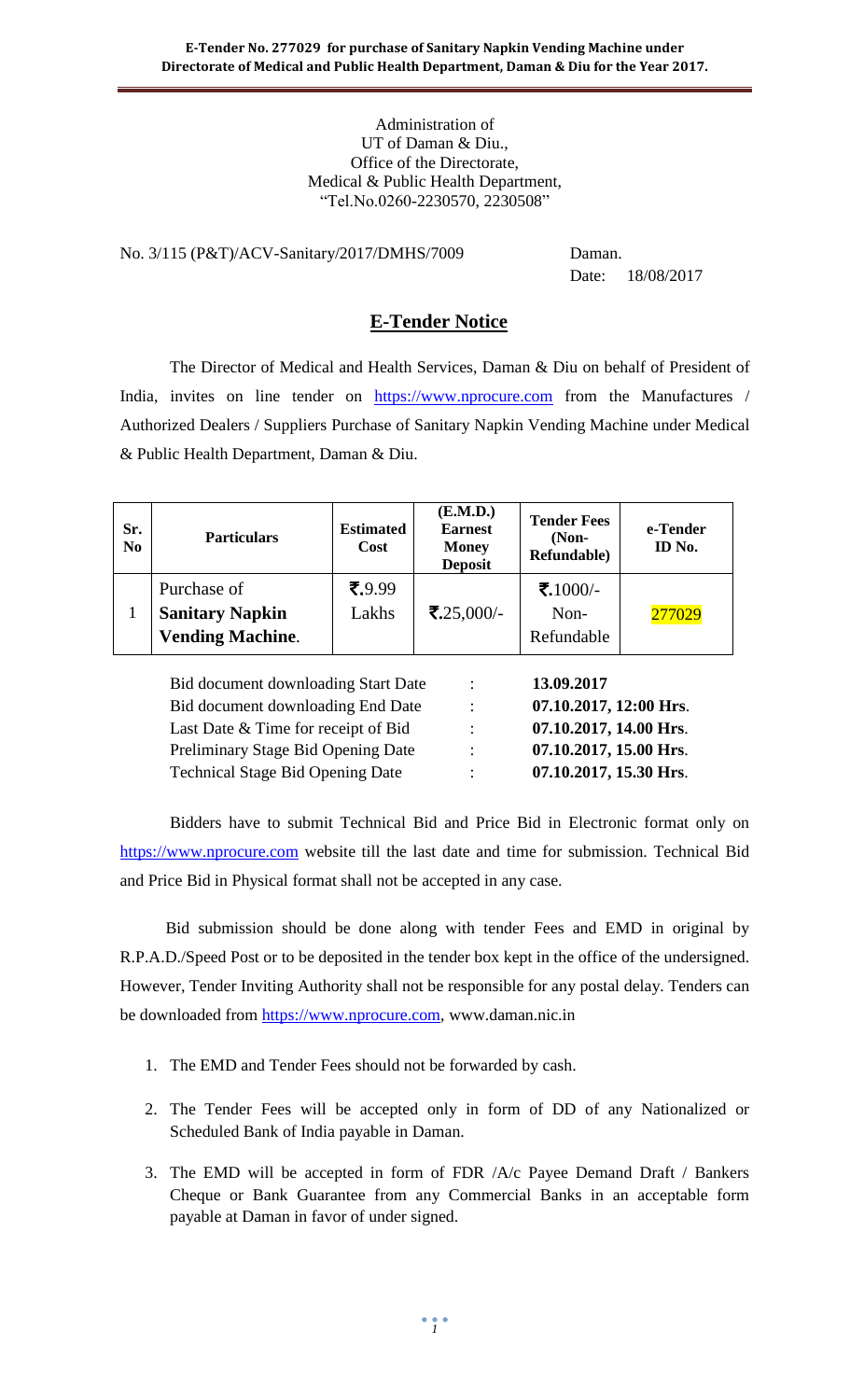#### Administration of UT of Daman & Diu., Office of the Directorate, Medical & Public Health Department, "Tel.No.0260-2230570, 2230508"

No. 3/115 (P&T)/ACV-Sanitary/2017/DMHS/7009 Daman.

Date: 18/08/2017

## **E-Tender Notice**

The Director of Medical and Health Services, Daman & Diu on behalf of President of India, invites on line tender on [https://www.nprocure.com](https://www.nprocure.com/) from the Manufactures / Authorized Dealers / Suppliers Purchase of Sanitary Napkin Vending Machine under Medical & Public Health Department, Daman & Diu.

| Sr.<br>N <sub>0</sub> | <b>Particulars</b>                                               | <b>Estimated</b><br><b>Cost</b> | (E.M.D.)<br><b>Earnest</b><br><b>Money</b><br><b>Deposit</b> | <b>Tender Fees</b><br>$(Non-$<br>Refundable) | e-Tender<br>ID No. |
|-----------------------|------------------------------------------------------------------|---------------------------------|--------------------------------------------------------------|----------------------------------------------|--------------------|
|                       | Purchase of<br><b>Sanitary Napkin</b><br><b>Vending Machine.</b> | $\bar{5}$ .9.99<br>Lakhs        | ₹.25,000/-                                                   | ₹.1000/-<br>Non-<br>Refundable               | 277029             |

| Bid document downloading Start Date     | ÷              | 13.09.2017             |
|-----------------------------------------|----------------|------------------------|
| Bid document downloading End Date       | $\ddot{\cdot}$ | 07.10.2017, 12:00 Hrs. |
| Last Date & Time for receipt of Bid     | ٠              | 07.10.2017, 14.00 Hrs. |
| Preliminary Stage Bid Opening Date      | ٠              | 07.10.2017, 15.00 Hrs. |
| <b>Technical Stage Bid Opening Date</b> | ٠              | 07.10.2017, 15.30 Hrs. |

Bidders have to submit Technical Bid and Price Bid in Electronic format only on [https://www.nprocure.com](https://www.nprocure.com/) website till the last date and time for submission. Technical Bid and Price Bid in Physical format shall not be accepted in any case.

 Bid submission should be done along with tender Fees and EMD in original by R.P.A.D./Speed Post or to be deposited in the tender box kept in the office of the undersigned. However, Tender Inviting Authority shall not be responsible for any postal delay. Tenders can be downloaded from [https://www.nprocure.com,](https://www.nprocure.com/) www.daman.nic.in

- 1. The EMD and Tender Fees should not be forwarded by cash.
- 2. The Tender Fees will be accepted only in form of DD of any Nationalized or Scheduled Bank of India payable in Daman.
- 3. The EMD will be accepted in form of FDR /A/c Payee Demand Draft / Bankers Cheque or Bank Guarantee from any Commercial Banks in an acceptable form payable at Daman in favor of under signed.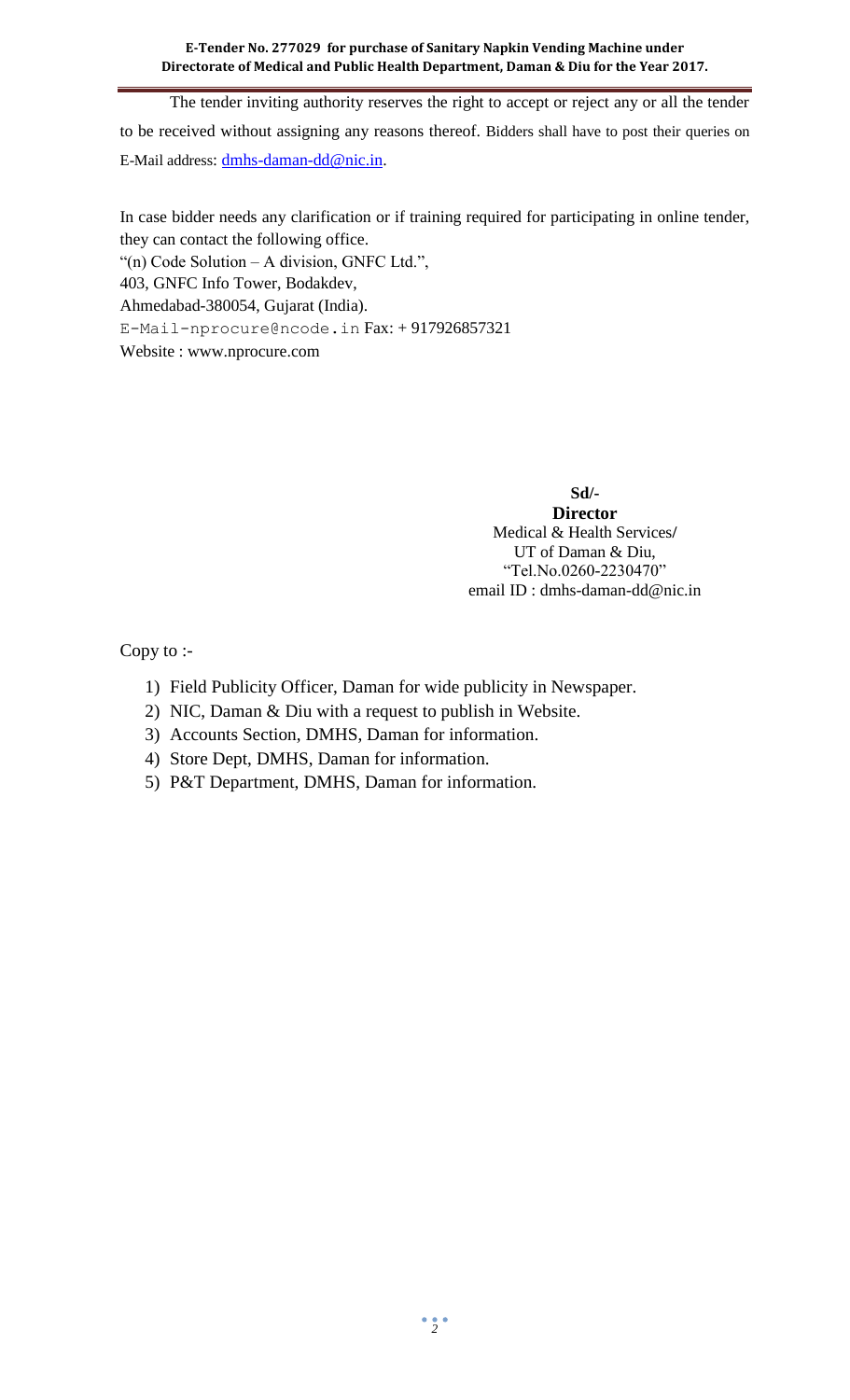The tender inviting authority reserves the right to accept or reject any or all the tender to be received without assigning any reasons thereof. Bidders shall have to post their queries on E-Mail address: [dmhs-daman-dd@nic.in.](mailto:dmhs-daman-dd@nic.in)

In case bidder needs any clarification or if training required for participating in online tender, they can contact the following office.

"(n) Code Solution – A division, GNFC Ltd.",

403, GNFC Info Tower, Bodakdev,

Ahmedabad-380054, Gujarat (India).

[E-Mail-nprocure@ncode.in](mailto:E-Mail-nprocure@ncode.in) Fax: + 917926857321

Website : [www.nprocure.com](http://www.nprocure.com/)

**Sd/- Director** Medical & Health Services**/** UT of Daman & Diu, "Tel.No.0260-2230470" email ID : dmhs-daman-dd@nic.in

Copy to :-

- 1) Field Publicity Officer, Daman for wide publicity in Newspaper.
- 2) NIC, Daman & Diu with a request to publish in Website.
- 3) Accounts Section, DMHS, Daman for information.
- 4) Store Dept, DMHS, Daman for information.
- 5) P&T Department, DMHS, Daman for information.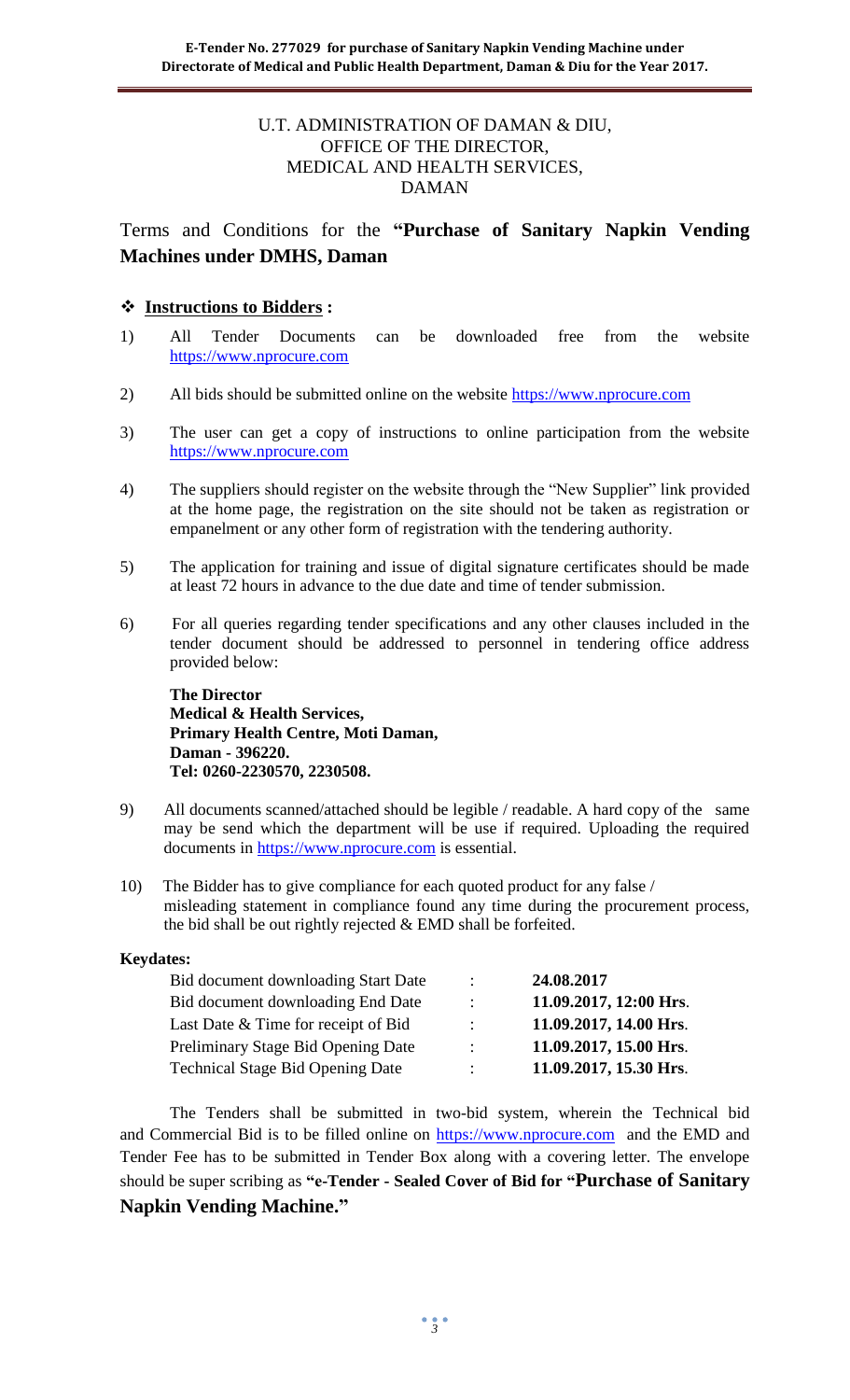#### U.T. ADMINISTRATION OF DAMAN & DIU, OFFICE OF THE DIRECTOR, MEDICAL AND HEALTH SERVICES, DAMAN

Terms and Conditions for the **"Purchase of Sanitary Napkin Vending Machines under DMHS, Daman**

#### **Instructions to Bidders :**

- 1) All Tender Documents can be downloaded free from the website [https://www.nprocure.com](https://www.nprocure.com/)
- 2) All bids should be submitted online on the website [https://www.nprocure.com](https://www.nprocure.com/)
- 3) The user can get a copy of instructions to online participation from the website [https://www.nprocure.com](https://www.nprocure.com/)
- 4) The suppliers should register on the website through the "New Supplier" link provided at the home page, the registration on the site should not be taken as registration or empanelment or any other form of registration with the tendering authority.
- 5) The application for training and issue of digital signature certificates should be made at least 72 hours in advance to the due date and time of tender submission.
- 6) For all queries regarding tender specifications and any other clauses included in the tender document should be addressed to personnel in tendering office address provided below:

**The Director Medical & Health Services, Primary Health Centre, Moti Daman, Daman - 396220. Tel: 0260-2230570, 2230508.**

- 9) All documents scanned/attached should be legible / readable. A hard copy of the same may be send which the department will be use if required. Uploading the required documents in [https://www.nprocure.com](https://www.nprocure.com/) is essential.
- 10) The Bidder has to give compliance for each quoted product for any false / misleading statement in compliance found any time during the procurement process, the bid shall be out rightly rejected & EMD shall be forfeited.

#### **Keydates:**

| $\bullet$            | 24.08.2017             |
|----------------------|------------------------|
| $\ddot{\phantom{a}}$ | 11.09.2017, 12:00 Hrs. |
| ٠                    | 11.09.2017, 14.00 Hrs. |
| $\bullet$            | 11.09.2017, 15.00 Hrs. |
| ۰.                   | 11.09.2017, 15.30 Hrs. |
|                      |                        |

 The Tenders shall be submitted in two-bid system, wherein the Technical bid and Commercial Bid is to be filled online on [https://www.nprocure.com](https://www.nprocure.com/) and the EMD and Tender Fee has to be submitted in Tender Box along with a covering letter. The envelope should be super scribing as **"e-Tender - Sealed Cover of Bid for "Purchase of Sanitary Napkin Vending Machine."**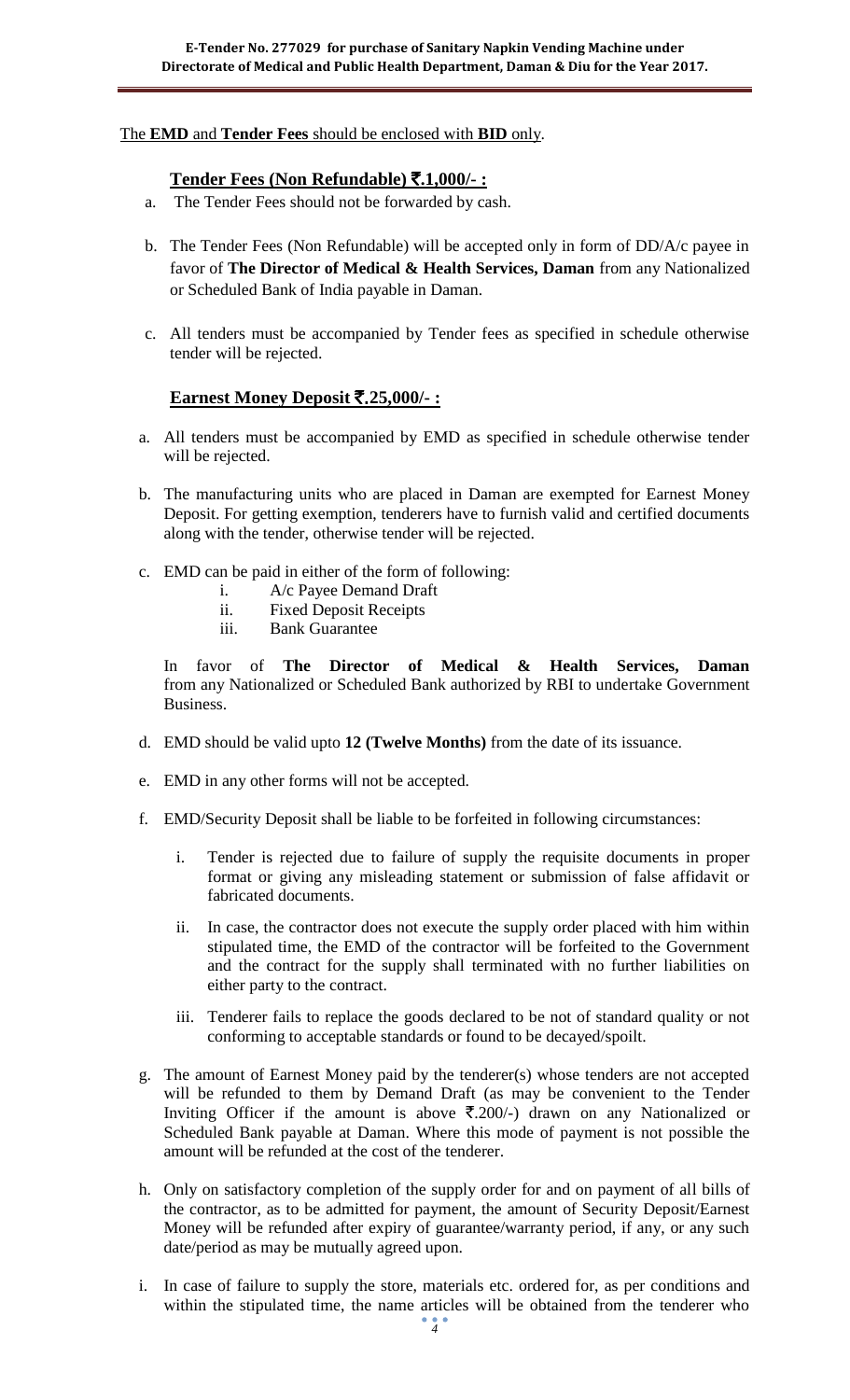#### The **EMD** and **Tender Fees** should be enclosed with **BID** only.

#### **Tender Fees (Non Refundable)** `**.1,000/- :**

- a. The Tender Fees should not be forwarded by cash.
- b. The Tender Fees (Non Refundable) will be accepted only in form of DD/A/c payee in favor of **The Director of Medical & Health Services, Daman** from any Nationalized or Scheduled Bank of India payable in Daman.
- c. All tenders must be accompanied by Tender fees as specified in schedule otherwise tender will be rejected.

### **Earnest Money Deposit** `.**25,000/- :**

- a. All tenders must be accompanied by EMD as specified in schedule otherwise tender will be rejected.
- b. The manufacturing units who are placed in Daman are exempted for Earnest Money Deposit. For getting exemption, tenderers have to furnish valid and certified documents along with the tender, otherwise tender will be rejected.
- c. EMD can be paid in either of the form of following:
	- i. A/c Payee Demand Draft
	- ii. Fixed Deposit Receipts
	- iii. Bank Guarantee

In favor of **The Director of Medical & Health Services, Daman**  from any Nationalized or Scheduled Bank authorized by RBI to undertake Government Business.

- d. EMD should be valid upto **12 (Twelve Months)** from the date of its issuance.
- e. EMD in any other forms will not be accepted.
- f. EMD/Security Deposit shall be liable to be forfeited in following circumstances:
	- i. Tender is rejected due to failure of supply the requisite documents in proper format or giving any misleading statement or submission of false affidavit or fabricated documents.
	- ii. In case, the contractor does not execute the supply order placed with him within stipulated time, the EMD of the contractor will be forfeited to the Government and the contract for the supply shall terminated with no further liabilities on either party to the contract.
	- iii. Tenderer fails to replace the goods declared to be not of standard quality or not conforming to acceptable standards or found to be decayed/spoilt.
- g. The amount of Earnest Money paid by the tenderer(s) whose tenders are not accepted will be refunded to them by Demand Draft (as may be convenient to the Tender Inviting Officer if the amount is above  $\overline{\mathfrak{F}}.200/-$ ) drawn on any Nationalized or Scheduled Bank payable at Daman. Where this mode of payment is not possible the amount will be refunded at the cost of the tenderer.
- h. Only on satisfactory completion of the supply order for and on payment of all bills of the contractor, as to be admitted for payment, the amount of Security Deposit/Earnest Money will be refunded after expiry of guarantee/warranty period, if any, or any such date/period as may be mutually agreed upon.
- i. In case of failure to supply the store, materials etc. ordered for, as per conditions and within the stipulated time, the name articles will be obtained from the tenderer who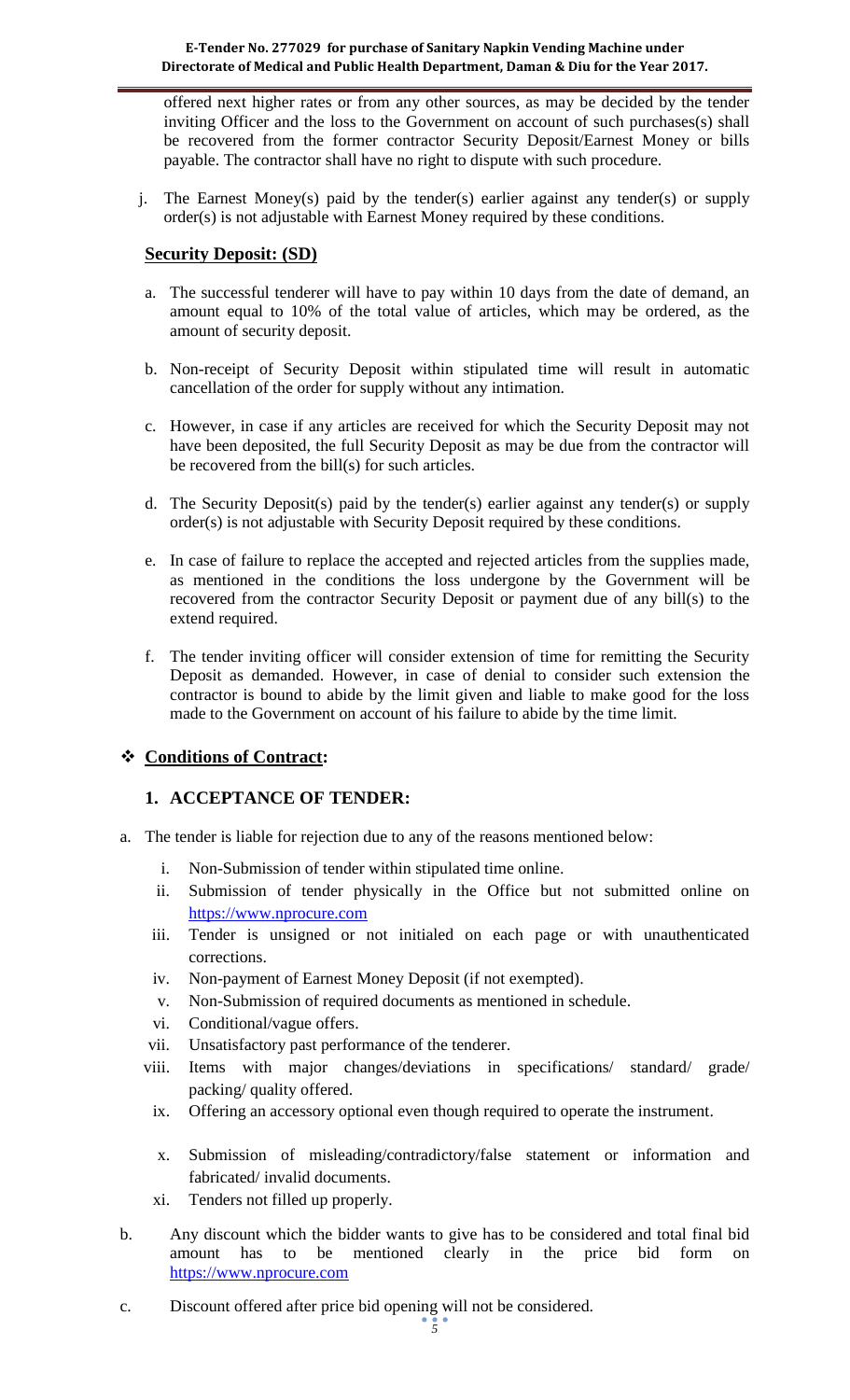offered next higher rates or from any other sources, as may be decided by the tender inviting Officer and the loss to the Government on account of such purchases(s) shall be recovered from the former contractor Security Deposit/Earnest Money or bills payable. The contractor shall have no right to dispute with such procedure.

j. The Earnest Money(s) paid by the tender(s) earlier against any tender(s) or supply order(s) is not adjustable with Earnest Money required by these conditions.

### **Security Deposit: (SD)**

- a. The successful tenderer will have to pay within 10 days from the date of demand, an amount equal to 10% of the total value of articles, which may be ordered, as the amount of security deposit.
- b. Non-receipt of Security Deposit within stipulated time will result in automatic cancellation of the order for supply without any intimation.
- c. However, in case if any articles are received for which the Security Deposit may not have been deposited, the full Security Deposit as may be due from the contractor will be recovered from the bill(s) for such articles.
- d. The Security Deposit(s) paid by the tender(s) earlier against any tender(s) or supply order(s) is not adjustable with Security Deposit required by these conditions.
- e. In case of failure to replace the accepted and rejected articles from the supplies made, as mentioned in the conditions the loss undergone by the Government will be recovered from the contractor Security Deposit or payment due of any bill(s) to the extend required.
- f. The tender inviting officer will consider extension of time for remitting the Security Deposit as demanded. However, in case of denial to consider such extension the contractor is bound to abide by the limit given and liable to make good for the loss made to the Government on account of his failure to abide by the time limit.

### **Conditions of Contract:**

#### **1. ACCEPTANCE OF TENDER:**

- a. The tender is liable for rejection due to any of the reasons mentioned below:
	- i. Non-Submission of tender within stipulated time online.
	- ii. Submission of tender physically in the Office but not submitted online on [https://www.nprocure.com](https://www.nprocure.com/)
	- iii. Tender is unsigned or not initialed on each page or with unauthenticated corrections.
	- iv. Non-payment of Earnest Money Deposit (if not exempted).
	- v. Non-Submission of required documents as mentioned in schedule.
	- vi. Conditional/vague offers.
	- vii. Unsatisfactory past performance of the tenderer.
	- viii. Items with major changes/deviations in specifications/ standard/ grade/ packing/ quality offered.
	- ix. Offering an accessory optional even though required to operate the instrument.
	- x. Submission of misleading/contradictory/false statement or information and fabricated/ invalid documents.
	- xi. Tenders not filled up properly.
- b. Any discount which the bidder wants to give has to be considered and total final bid amount has to be mentioned clearly in the price bid form on [https://www.nprocure.com](https://www.nprocure.com/)
- c. Discount offered after price bid opening will not be considered.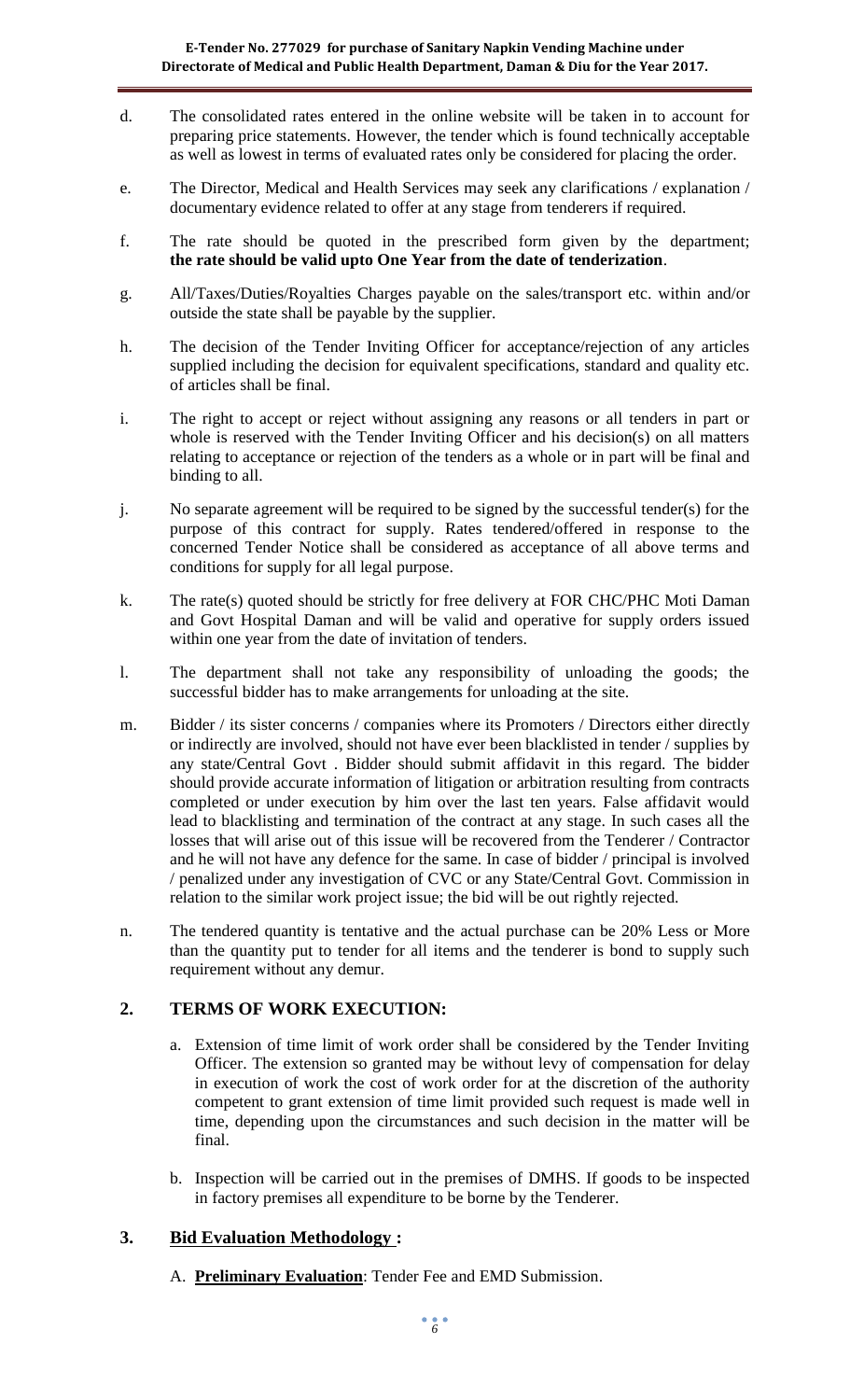- d. The consolidated rates entered in the online website will be taken in to account for preparing price statements. However, the tender which is found technically acceptable as well as lowest in terms of evaluated rates only be considered for placing the order.
- e. The Director, Medical and Health Services may seek any clarifications / explanation / documentary evidence related to offer at any stage from tenderers if required.
- f. The rate should be quoted in the prescribed form given by the department; **the rate should be valid upto One Year from the date of tenderization**.
- g. All/Taxes/Duties/Royalties Charges payable on the sales/transport etc. within and/or outside the state shall be payable by the supplier.
- h. The decision of the Tender Inviting Officer for acceptance/rejection of any articles supplied including the decision for equivalent specifications, standard and quality etc. of articles shall be final.
- i. The right to accept or reject without assigning any reasons or all tenders in part or whole is reserved with the Tender Inviting Officer and his decision(s) on all matters relating to acceptance or rejection of the tenders as a whole or in part will be final and binding to all.
- j. No separate agreement will be required to be signed by the successful tender(s) for the purpose of this contract for supply. Rates tendered/offered in response to the concerned Tender Notice shall be considered as acceptance of all above terms and conditions for supply for all legal purpose.
- k. The rate(s) quoted should be strictly for free delivery at FOR CHC/PHC Moti Daman and Govt Hospital Daman and will be valid and operative for supply orders issued within one year from the date of invitation of tenders.
- l. The department shall not take any responsibility of unloading the goods; the successful bidder has to make arrangements for unloading at the site.
- m. Bidder / its sister concerns / companies where its Promoters / Directors either directly or indirectly are involved, should not have ever been blacklisted in tender / supplies by any state/Central Govt . Bidder should submit affidavit in this regard. The bidder should provide accurate information of litigation or arbitration resulting from contracts completed or under execution by him over the last ten years. False affidavit would lead to blacklisting and termination of the contract at any stage. In such cases all the losses that will arise out of this issue will be recovered from the Tenderer / Contractor and he will not have any defence for the same. In case of bidder / principal is involved / penalized under any investigation of CVC or any State/Central Govt. Commission in relation to the similar work project issue; the bid will be out rightly rejected.
- n. The tendered quantity is tentative and the actual purchase can be 20% Less or More than the quantity put to tender for all items and the tenderer is bond to supply such requirement without any demur.

### **2. TERMS OF WORK EXECUTION:**

- a. Extension of time limit of work order shall be considered by the Tender Inviting Officer. The extension so granted may be without levy of compensation for delay in execution of work the cost of work order for at the discretion of the authority competent to grant extension of time limit provided such request is made well in time, depending upon the circumstances and such decision in the matter will be final.
- b. Inspection will be carried out in the premises of DMHS. If goods to be inspected in factory premises all expenditure to be borne by the Tenderer.

### **3. Bid Evaluation Methodology :**

A. **Preliminary Evaluation**: Tender Fee and EMD Submission.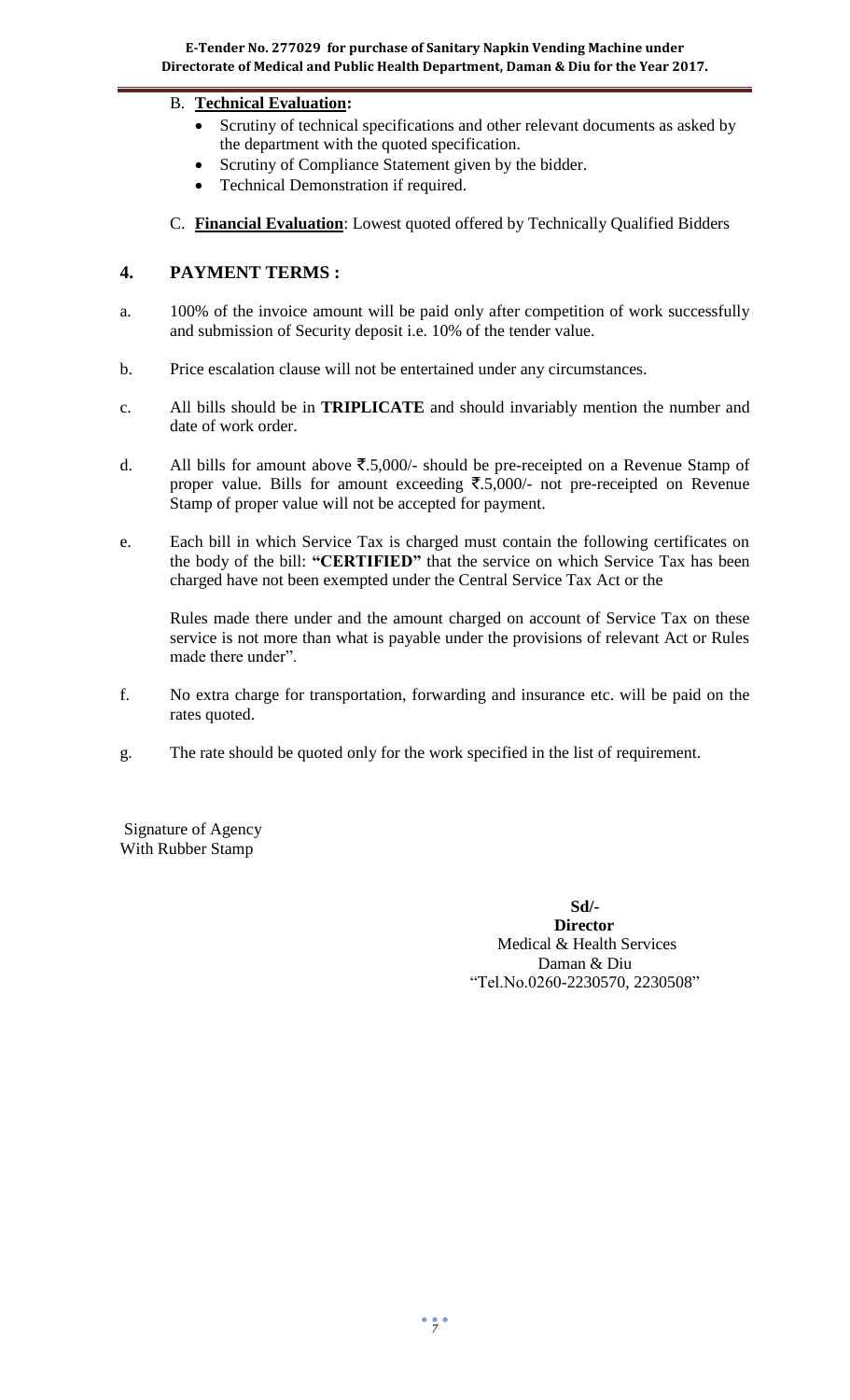### B. **Technical Evaluation:**

- Scrutiny of technical specifications and other relevant documents as asked by the department with the quoted specification.
- Scrutiny of Compliance Statement given by the bidder.
- Technical Demonstration if required.
- C. **Financial Evaluation**: Lowest quoted offered by Technically Qualified Bidders

### **4. PAYMENT TERMS :**

- a. 100% of the invoice amount will be paid only after competition of work successfully and submission of Security deposit i.e. 10% of the tender value.
- b. Price escalation clause will not be entertained under any circumstances.
- c. All bills should be in **TRIPLICATE** and should invariably mention the number and date of work order.
- d. All bills for amount above  $\overline{\mathfrak{F}}.5,000/4$  should be pre-receipted on a Revenue Stamp of proper value. Bills for amount exceeding  $\overline{\xi}$ .5,000/- not pre-receipted on Revenue Stamp of proper value will not be accepted for payment.
- e. Each bill in which Service Tax is charged must contain the following certificates on the body of the bill: **"CERTIFIED"** that the service on which Service Tax has been charged have not been exempted under the Central Service Tax Act or the

Rules made there under and the amount charged on account of Service Tax on these service is not more than what is payable under the provisions of relevant Act or Rules made there under".

- f. No extra charge for transportation, forwarding and insurance etc. will be paid on the rates quoted.
- g. The rate should be quoted only for the work specified in the list of requirement.

Signature of Agency With Rubber Stamp

**Sd/-** *Director* Medical & Health Services Daman & Diu "Tel.No.0260-2230570, 2230508"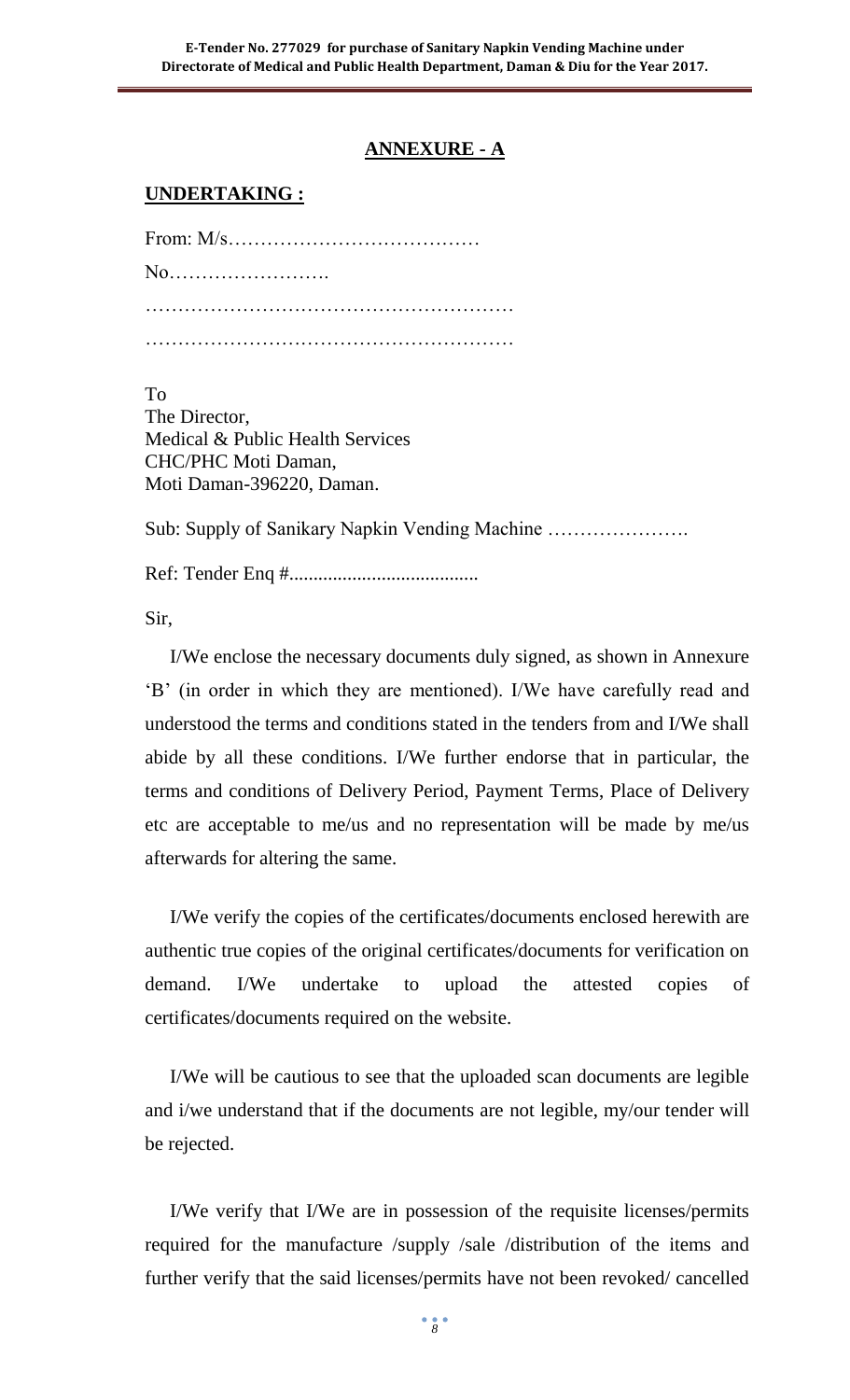## **ANNEXURE - A**

## **UNDERTAKING :**

From: M/s………………………………… No……………………. ………………………………………………… …………………………………………………

To

The Director, Medical & Public Health Services CHC/PHC Moti Daman, Moti Daman-396220, Daman.

Sub: Supply of Sanikary Napkin Vending Machine ………………….

Ref: Tender Enq #.......................................

Sir,

I/We enclose the necessary documents duly signed, as shown in Annexure "B" (in order in which they are mentioned). I/We have carefully read and understood the terms and conditions stated in the tenders from and I/We shall abide by all these conditions. I/We further endorse that in particular, the terms and conditions of Delivery Period, Payment Terms, Place of Delivery etc are acceptable to me/us and no representation will be made by me/us afterwards for altering the same.

I/We verify the copies of the certificates/documents enclosed herewith are authentic true copies of the original certificates/documents for verification on demand. I/We undertake to upload the attested copies of certificates/documents required on the website.

I/We will be cautious to see that the uploaded scan documents are legible and i/we understand that if the documents are not legible, my/our tender will be rejected.

I/We verify that I/We are in possession of the requisite licenses/permits required for the manufacture /supply /sale /distribution of the items and further verify that the said licenses/permits have not been revoked/ cancelled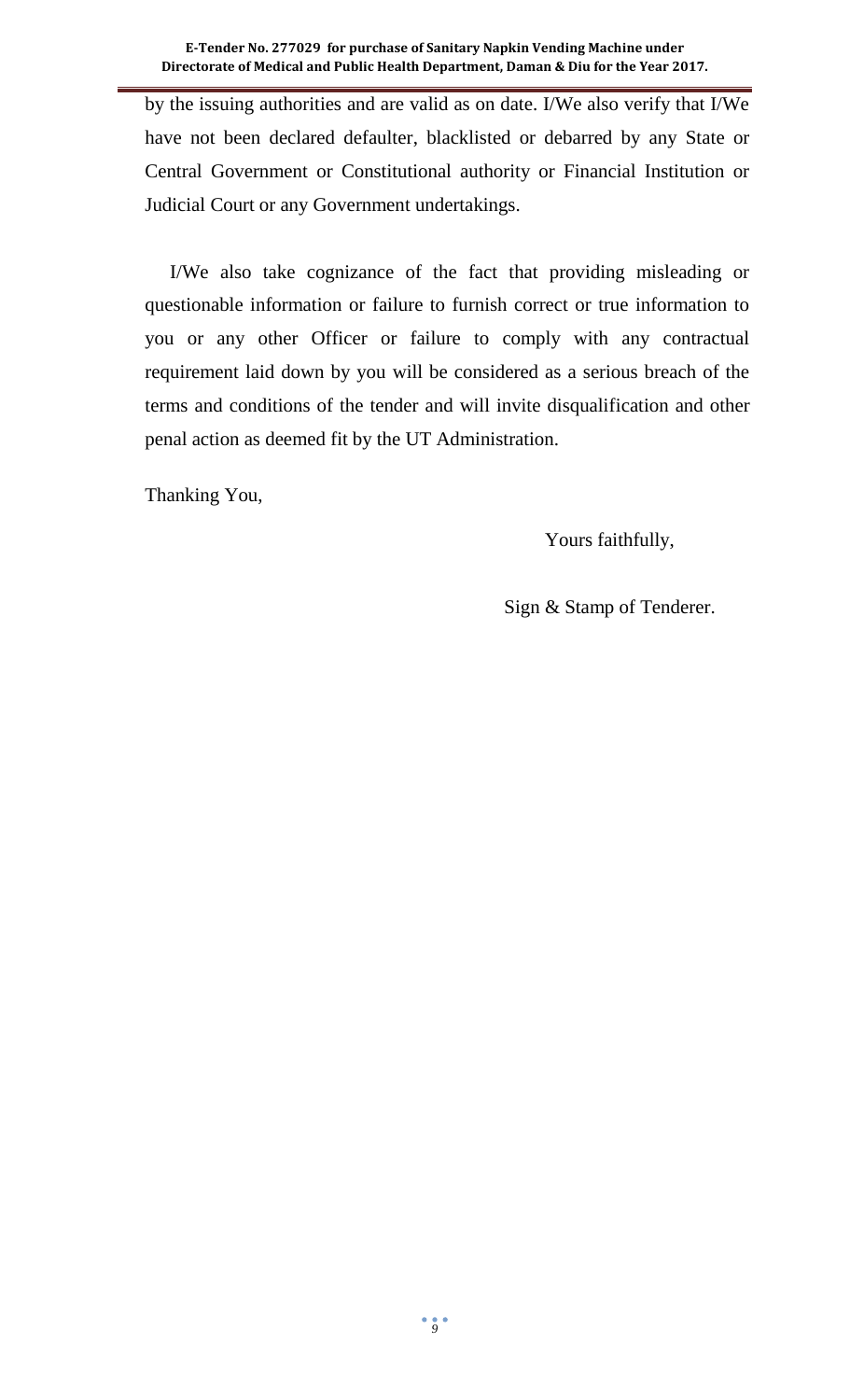by the issuing authorities and are valid as on date. I/We also verify that I/We have not been declared defaulter, blacklisted or debarred by any State or Central Government or Constitutional authority or Financial Institution or Judicial Court or any Government undertakings.

I/We also take cognizance of the fact that providing misleading or questionable information or failure to furnish correct or true information to you or any other Officer or failure to comply with any contractual requirement laid down by you will be considered as a serious breach of the terms and conditions of the tender and will invite disqualification and other penal action as deemed fit by the UT Administration.

Thanking You,

Yours faithfully,

Sign & Stamp of Tenderer.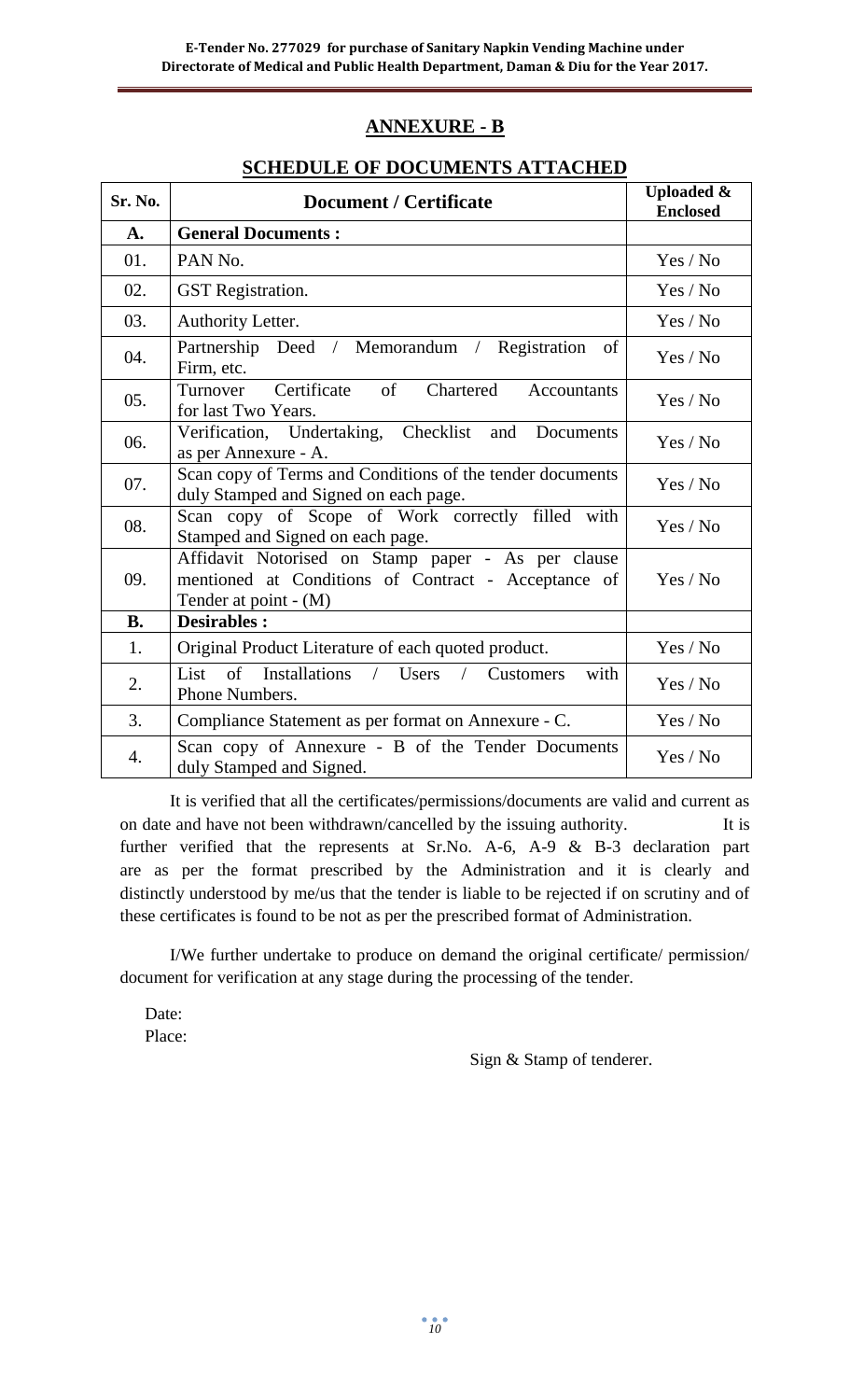## **ANNEXURE - B**

## **SCHEDULE OF DOCUMENTS ATTACHED**

| Sr. No.   | <b>Document / Certificate</b>                                                                                                      | <b>Uploaded &amp;</b><br><b>Enclosed</b> |
|-----------|------------------------------------------------------------------------------------------------------------------------------------|------------------------------------------|
| A.        | <b>General Documents:</b>                                                                                                          |                                          |
| 01.       | PAN No.                                                                                                                            | Yes / No                                 |
| 02.       | <b>GST</b> Registration.                                                                                                           | Yes / No                                 |
| 03.       | Authority Letter.                                                                                                                  | Yes / No                                 |
| 04.       | Partnership Deed / Memorandum / Registration<br>of<br>Firm, etc.                                                                   | Yes / No                                 |
| 05.       | Certificate<br>of<br>Turnover<br>Chartered<br>Accountants<br>for last Two Years.                                                   | Yes / No                                 |
| 06.       | Verification, Undertaking, Checklist and Documents<br>as per Annexure - A.                                                         | Yes / No                                 |
| 07.       | Scan copy of Terms and Conditions of the tender documents<br>duly Stamped and Signed on each page.                                 | Yes / No                                 |
| 08.       | Scan copy of Scope of Work correctly filled with<br>Stamped and Signed on each page.                                               | Yes / No                                 |
| 09.       | Affidavit Notorised on Stamp paper - As per clause<br>mentioned at Conditions of Contract - Acceptance of<br>Tender at point - (M) | Yes / No                                 |
| <b>B.</b> | <b>Desirables:</b>                                                                                                                 |                                          |
| 1.        | Original Product Literature of each quoted product.                                                                                | Yes / No                                 |
| 2.        | List of Installations / Users / Customers<br>with<br>Phone Numbers.                                                                | Yes / No                                 |
| 3.        | Compliance Statement as per format on Annexure - C.                                                                                | Yes / No                                 |
| 4.        | Scan copy of Annexure - B of the Tender Documents<br>duly Stamped and Signed.                                                      | Yes / No                                 |

It is verified that all the certificates/permissions/documents are valid and current as on date and have not been withdrawn/cancelled by the issuing authority. It is further verified that the represents at Sr.No. A-6, A-9 & B-3 declaration part are as per the format prescribed by the Administration and it is clearly and distinctly understood by me/us that the tender is liable to be rejected if on scrutiny and of these certificates is found to be not as per the prescribed format of Administration.

I/We further undertake to produce on demand the original certificate/ permission/ document for verification at any stage during the processing of the tender.

Date: Place:

Sign & Stamp of tenderer.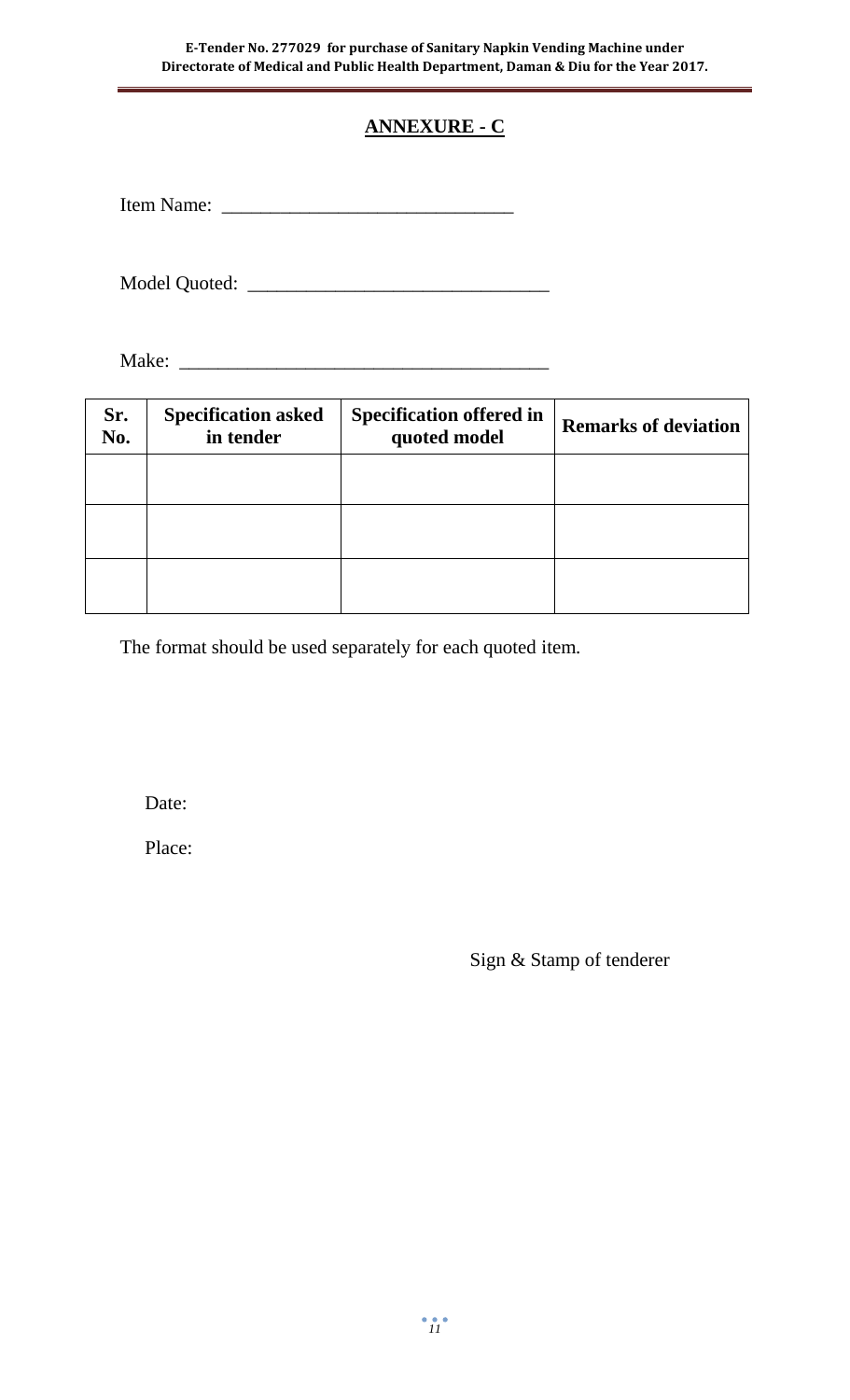# **ANNEXURE - C**

Item Name: \_\_\_\_\_\_\_\_\_\_\_\_\_\_\_\_\_\_\_\_\_\_\_\_\_\_\_\_\_\_

Model Quoted: \_\_\_\_\_\_\_\_\_\_\_\_\_\_\_\_\_\_\_\_\_\_\_\_\_\_\_\_\_\_\_

Make: \_\_\_\_\_\_\_\_\_\_\_\_\_\_\_\_\_\_\_\_\_\_\_\_\_\_\_\_\_\_\_\_\_\_\_\_\_\_

| Sr.<br>No. | <b>Specification asked</b><br>in tender | <b>Specification offered in</b><br>quoted model | <b>Remarks of deviation</b> |
|------------|-----------------------------------------|-------------------------------------------------|-----------------------------|
|            |                                         |                                                 |                             |
|            |                                         |                                                 |                             |
|            |                                         |                                                 |                             |

The format should be used separately for each quoted item.

Date:

Place:

Sign & Stamp of tenderer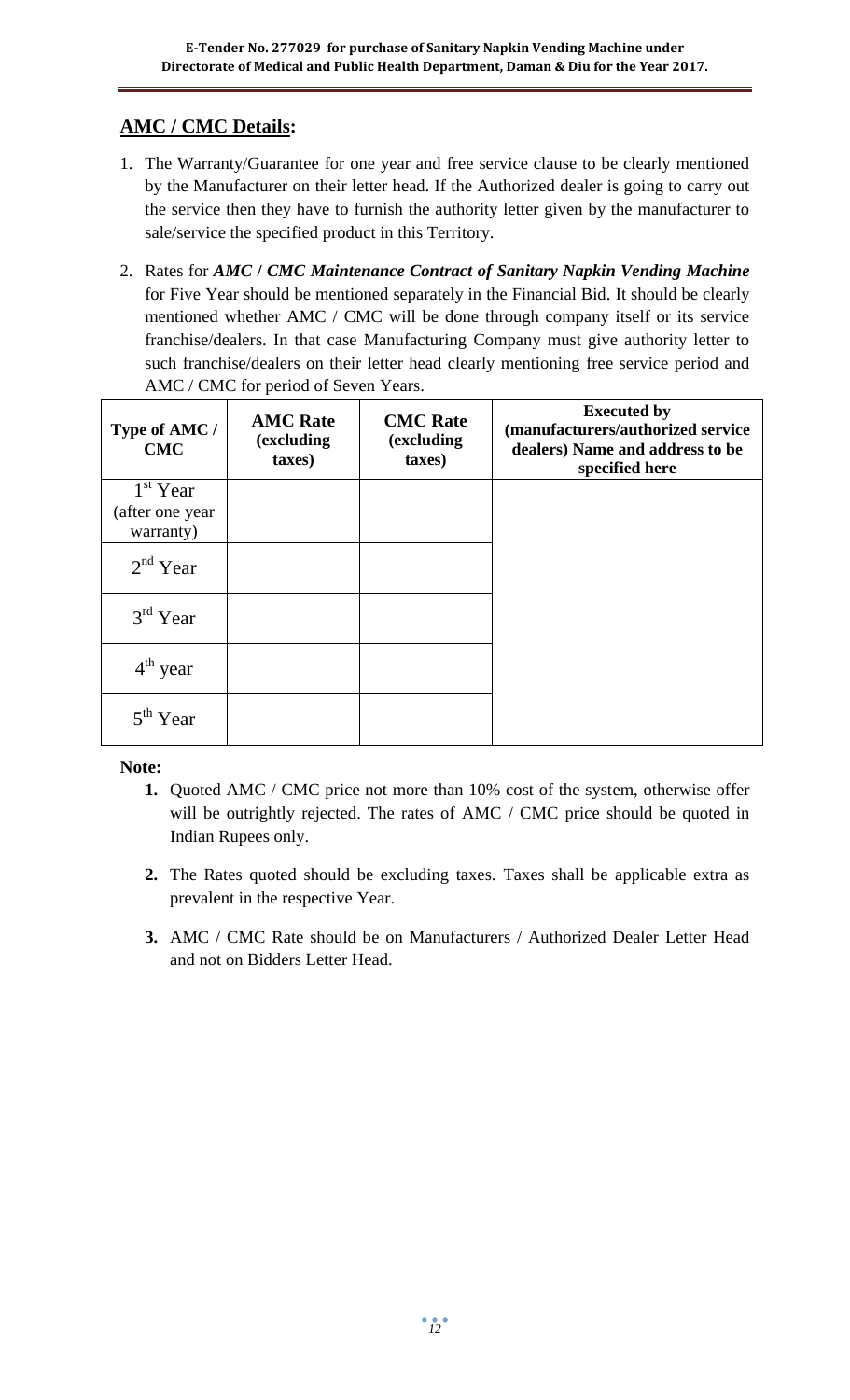## **AMC / CMC Details:**

- 1. The Warranty/Guarantee for one year and free service clause to be clearly mentioned by the Manufacturer on their letter head. If the Authorized dealer is going to carry out the service then they have to furnish the authority letter given by the manufacturer to sale/service the specified product in this Territory.
- 2. Rates for *AMC* **/** *CMC Maintenance Contract of Sanitary Napkin Vending Machine*  for Five Year should be mentioned separately in the Financial Bid. It should be clearly mentioned whether AMC / CMC will be done through company itself or its service franchise/dealers. In that case Manufacturing Company must give authority letter to such franchise/dealers on their letter head clearly mentioning free service period and AMC / CMC for period of Seven Years.

| Type of AMC /<br><b>CMC</b> | <b>AMC</b> Rate<br>(excluding<br>taxes) | <b>CMC</b> Rate<br>(excluding<br>taxes) | <b>Executed by</b><br>(manufacturers/authorized service<br>dealers) Name and address to be<br>specified here |
|-----------------------------|-----------------------------------------|-----------------------------------------|--------------------------------------------------------------------------------------------------------------|
| $1st$ Year                  |                                         |                                         |                                                                                                              |
| (after one year             |                                         |                                         |                                                                                                              |
| warranty)                   |                                         |                                         |                                                                                                              |
| $2nd$ Year                  |                                         |                                         |                                                                                                              |
| $3rd$ Year                  |                                         |                                         |                                                                                                              |
| $4th$ year                  |                                         |                                         |                                                                                                              |
| 5 <sup>th</sup> Year        |                                         |                                         |                                                                                                              |

### **Note:**

- **1.** Quoted AMC / CMC price not more than 10% cost of the system, otherwise offer will be outrightly rejected. The rates of AMC / CMC price should be quoted in Indian Rupees only.
- **2.** The Rates quoted should be excluding taxes. Taxes shall be applicable extra as prevalent in the respective Year.
- **3.** AMC / CMC Rate should be on Manufacturers / Authorized Dealer Letter Head and not on Bidders Letter Head.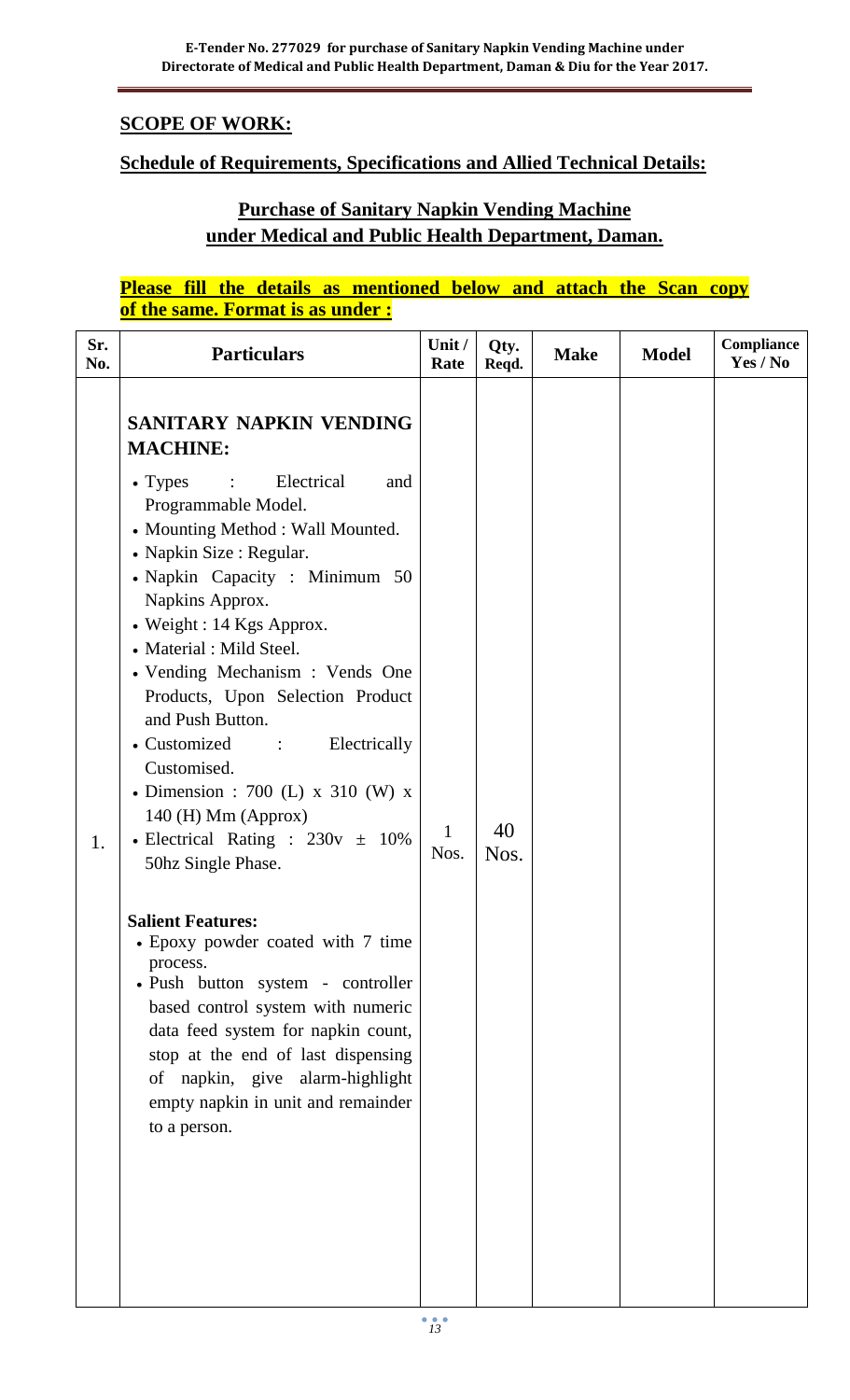## **SCOPE OF WORK:**

## **Schedule of Requirements, Specifications and Allied Technical Details:**

## **Purchase of Sanitary Napkin Vending Machine under Medical and Public Health Department, Daman.**

## **Please fill the details as mentioned below and attach the Scan copy of the same. Format is as under :**

| Sr.<br>No. | <b>Particulars</b>                                                                                                                                                                                                                                                                                                                                                                                                                                                                                                                                                                     | Unit /<br>Rate | Qty.<br>Reqd. | <b>Make</b> | <b>Model</b> | Compliance<br>Yes / No |
|------------|----------------------------------------------------------------------------------------------------------------------------------------------------------------------------------------------------------------------------------------------------------------------------------------------------------------------------------------------------------------------------------------------------------------------------------------------------------------------------------------------------------------------------------------------------------------------------------------|----------------|---------------|-------------|--------------|------------------------|
| 1.         | <b>SANITARY NAPKIN VENDING</b><br><b>MACHINE:</b><br>Electrical<br>$\bullet$ Types<br>$\sim 1000$<br>and<br>Programmable Model.<br>• Mounting Method : Wall Mounted.<br>• Napkin Size : Regular.<br>• Napkin Capacity: Minimum 50<br>Napkins Approx.<br>• Weight : 14 Kgs Approx.<br>• Material : Mild Steel.<br>• Vending Mechanism : Vends One<br>Products, Upon Selection Product<br>and Push Button.<br>• Customized :<br>Electrically<br>Customised.<br>• Dimension : 700 (L) x 310 (W) x<br>$140$ (H) Mm (Approx)<br>• Electrical Rating : $230v \pm 10\%$<br>50hz Single Phase. | 1<br>Nos.      | 40<br>Nos.    |             |              |                        |
|            | <b>Salient Features:</b><br>• Epoxy powder coated with 7 time<br>process.<br>· Push button system - controller<br>based control system with numeric<br>data feed system for napkin count,<br>stop at the end of last dispensing<br>of napkin, give alarm-highlight<br>empty napkin in unit and remainder<br>to a person.                                                                                                                                                                                                                                                               |                |               |             |              |                        |